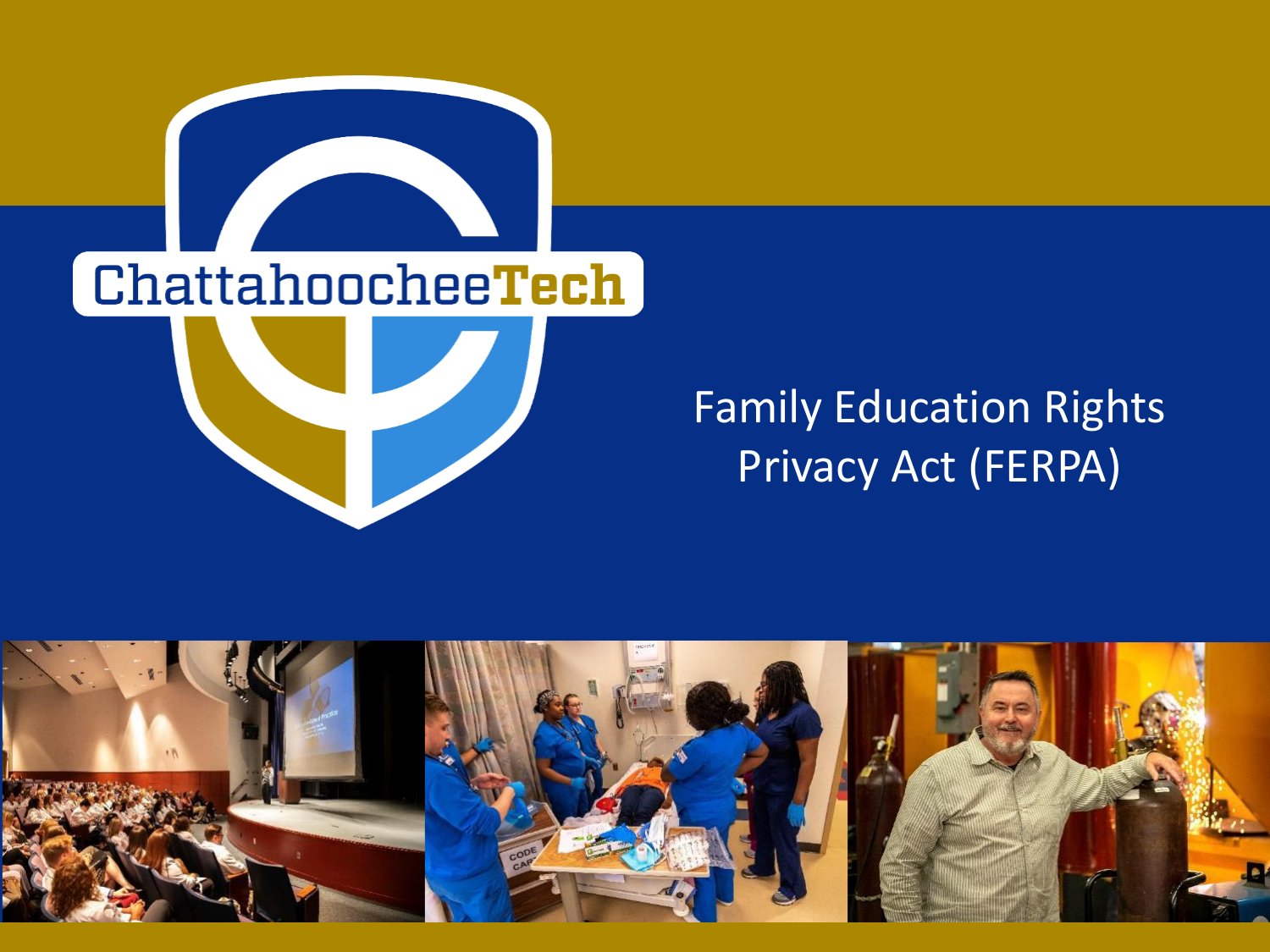

## Family Education Rights Privacy Act (FERPA)

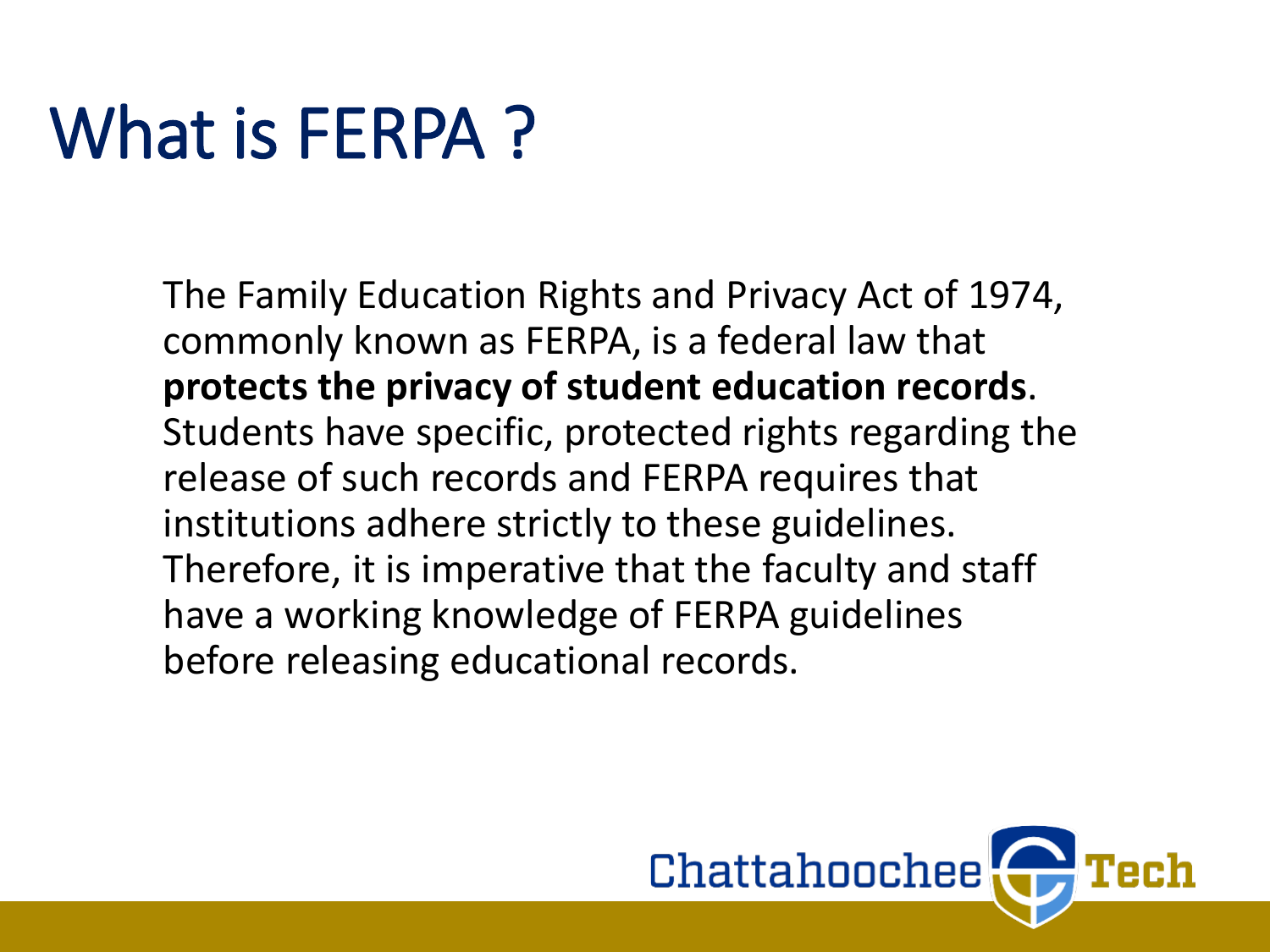## What is FERPA?

The Family Education Rights and Privacy Act of 1974, commonly known as FERPA, is a federal law that **protects the privacy of student education records**. Students have specific, protected rights regarding the release of such records and FERPA requires that institutions adhere strictly to these guidelines. Therefore, it is imperative that the faculty and staff have a working knowledge of FERPA guidelines before releasing educational records.

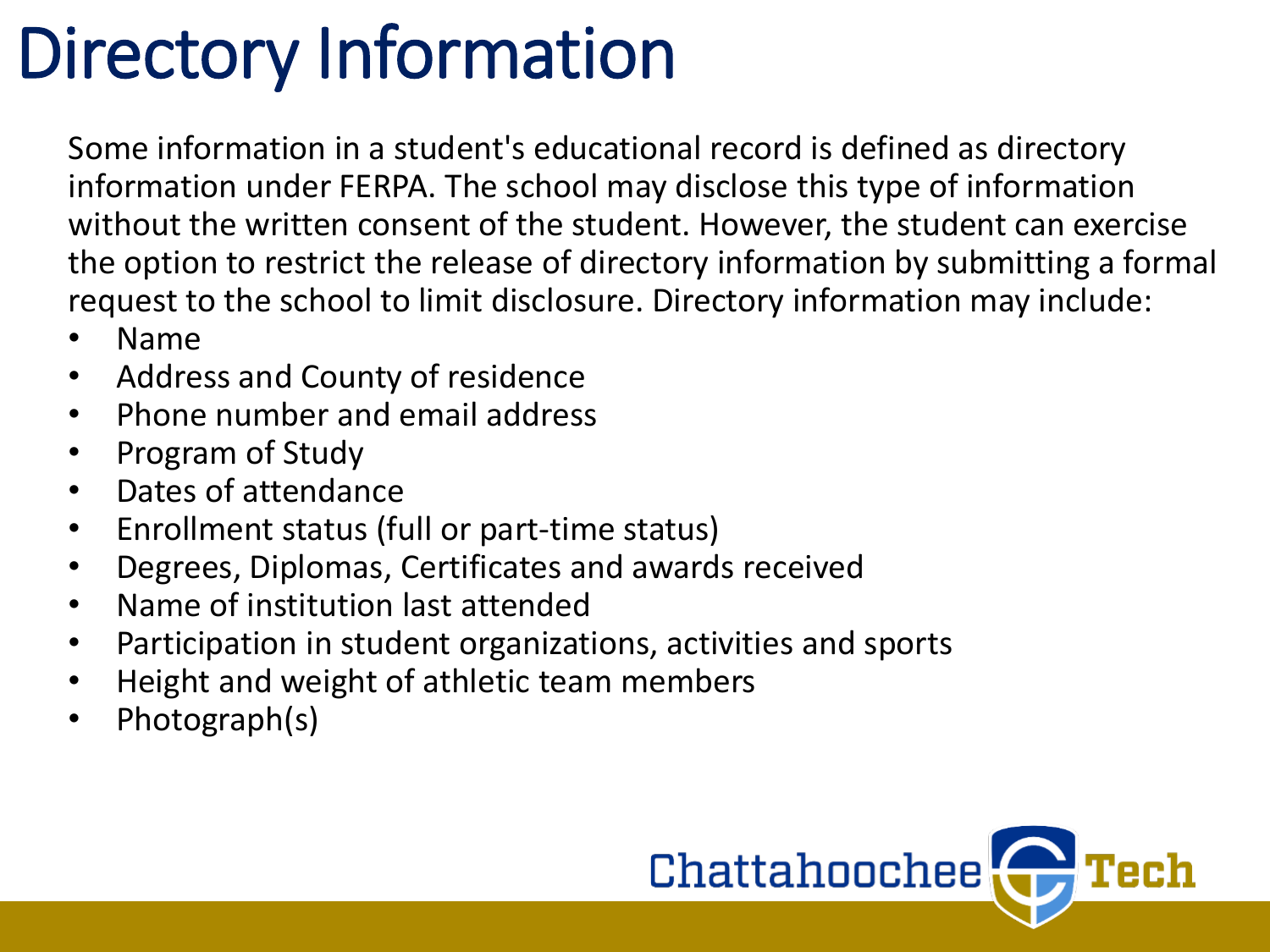## Directory Information

Some information in a student's educational record is defined as directory information under FERPA. The school may disclose this type of information without the written consent of the student. However, the student can exercise the option to restrict the release of directory information by submitting a formal request to the school to limit disclosure. Directory information may include:

- Name
- Address and County of residence
- Phone number and email address
- Program of Study
- Dates of attendance
- Enrollment status (full or part-time status)
- Degrees, Diplomas, Certificates and awards received
- Name of institution last attended
- Participation in student organizations, activities and sports
- Height and weight of athletic team members
- Photograph(s)